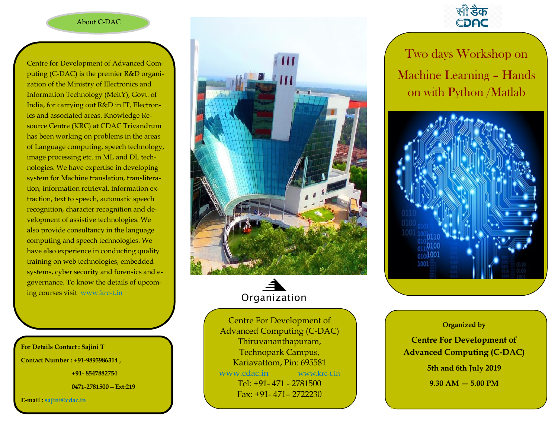## About **C**-DAC

Centre for Development of Advanced Computing (C-DAC) is the premier R&D organization of the Ministry of Electronics and Information Technology (MeitY), Govt. of India, for carrying out R&D in IT, Electronics and associated areas. Knowledge Resource Centre (KRC) at CDAC Trivandrum has been working on problems in the areas of Language computing, speech technology, image processing etc. in ML and DL technologies. We have expertise in developing system for Machine translation, transliteration, information retrieval, information extraction, text to speech, automatic speech recognition, character recognition and development of assistive technologies. We also provide consultancy in the language computing and speech technologies. We have also experience in conducting quality training on web technologies, embedded systems, cyber security and forensics and egovernance. To know the details of upcoming courses visit www.krc-t.in

**For Details Contact : Sajini T Contact Number : +91-9895986314 ,** 

**+91- 8547882754** 

**0471-2781500—Ext:219**

**E-mail : sajini@cdac.in**





Centre For Development of Advanced Computing (C-DAC) Thiruvananthapuram, Technopark Campus, Kariavattom, Pin: 695581 www.cdac.in www.krc-t.in Tel: +91- 471 - 2781500 Fax: +91- 471– 2722230



Two days Workshop on Machine Learning – Hands on with Python /Matlab



# **Organized by**

**5th and 6th July 2019 Centre For Development of Advanced Computing (C-DAC) 9.30 AM — 5.00 PM**